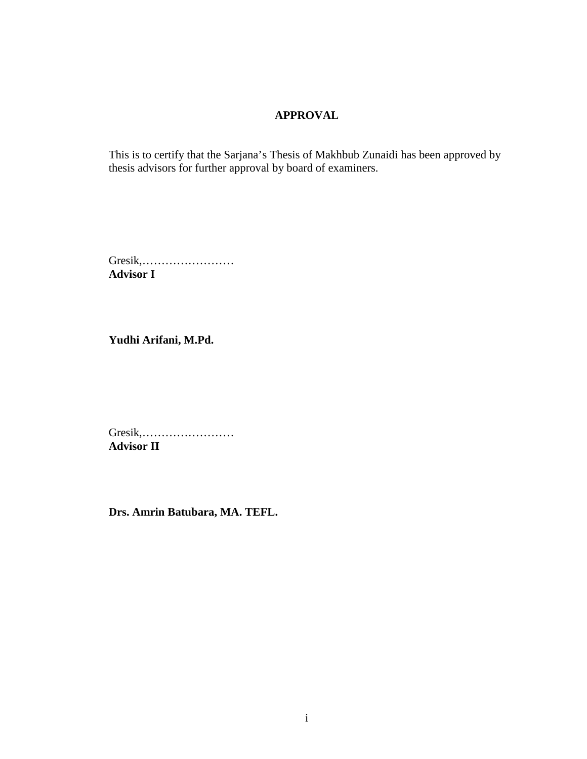#### **APPROVAL**

This is to certify that the Sarjana's Thesis of Makhbub Zunaidi has been approved by thesis advisors for further approval by board of examiners.

Gresik,…………………… **Advisor I**

**Yudhi Arifani, M.Pd.**

Gresik,…………………… **Advisor II**

**Drs. Amrin Batubara, MA. TEFL.**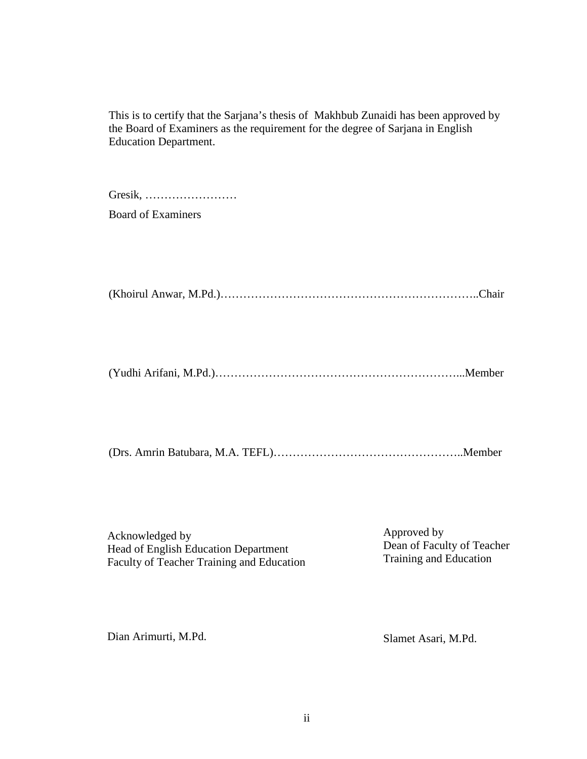This is to certify that the Sarjana's thesis of Makhbub Zunaidi has been approved by the Board of Examiners as the requirement for the degree of Sarjana in English Education Department.

Gresik, …………………… Board of Examiners

(Khoirul Anwar, M.Pd.)…………………………………………………………..Chair

(Yudhi Arifani, M.Pd.)………………………………………………………...Member

(Drs. Amrin Batubara, M.A. TEFL)…………………………………………..Member

Acknowledged by Head of English Education Department Faculty of Teacher Training and Education Approved by Dean of Faculty of Teacher Training and Education

Dian Arimurti, M.Pd.

Slamet Asari, M.Pd.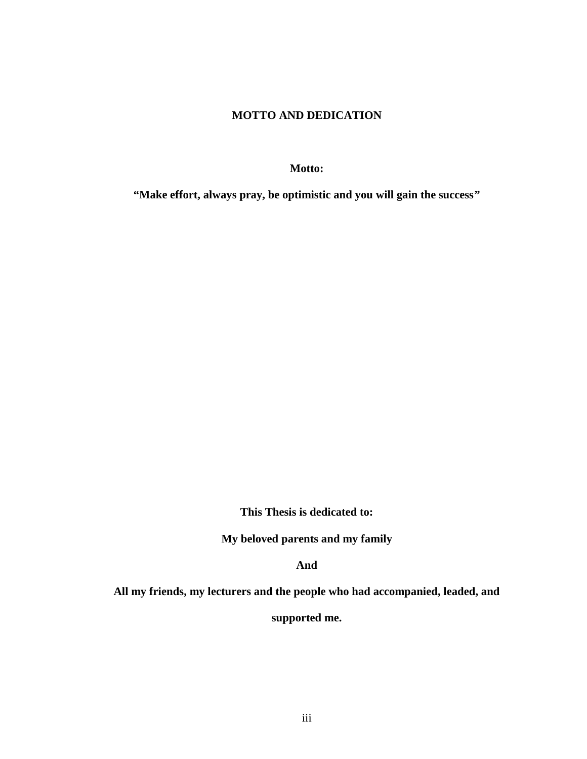#### **MOTTO AND DEDICATION**

**Motto:**

**"Make effort, always pray, be optimistic and you will gain the success"**

**This Thesis is dedicated to:**

**My beloved parents and my family**

**And**

**All my friends, my lecturers and the people who had accompanied, leaded, and**

**supported me.**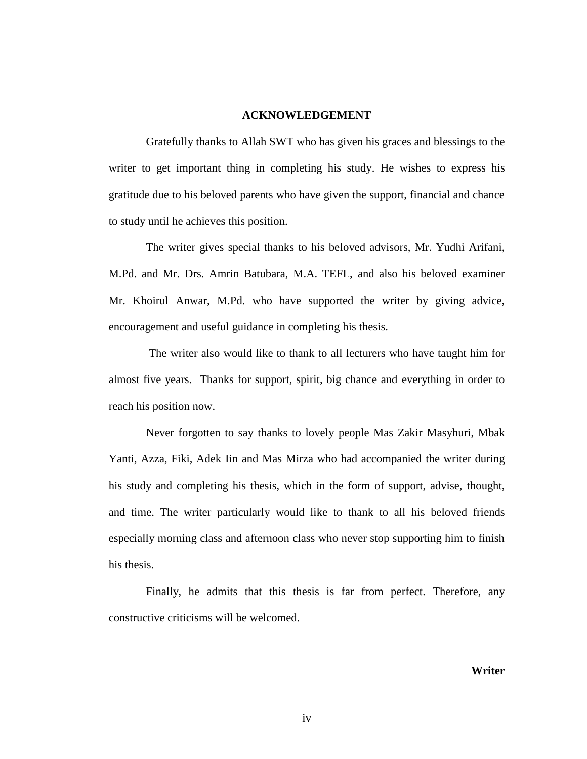#### **ACKNOWLEDGEMENT**

Gratefully thanks to Allah SWT who has given his graces and blessings to the writer to get important thing in completing his study. He wishes to express his gratitude due to his beloved parents who have given the support, financial and chance to study until he achieves this position.

The writer gives special thanks to his beloved advisors, Mr. Yudhi Arifani, M.Pd. and Mr. Drs. Amrin Batubara, M.A. TEFL, and also his beloved examiner Mr. Khoirul Anwar, M.Pd. who have supported the writer by giving advice, encouragement and useful guidance in completing his thesis.

The writer also would like to thank to all lecturers who have taught him for almost five years. Thanks for support, spirit, big chance and everything in order to reach his position now.

Never forgotten to say thanks to lovely people Mas Zakir Masyhuri, Mbak Yanti, Azza, Fiki, Adek Iin and Mas Mirza who had accompanied the writer during his study and completing his thesis, which in the form of support, advise, thought, and time. The writer particularly would like to thank to all his beloved friends especially morning class and afternoon class who never stop supporting him to finish his thesis.

Finally, he admits that this thesis is far from perfect. Therefore, any constructive criticisms will be welcomed.

**Writer**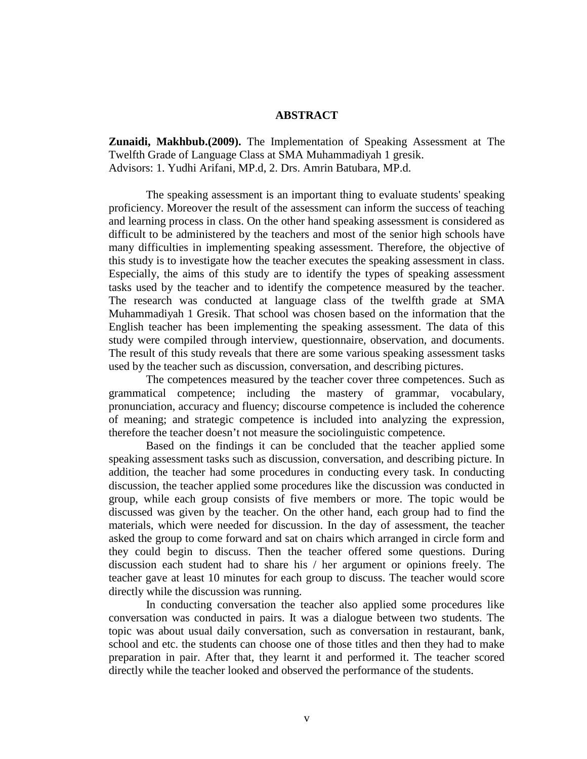#### **ABSTRACT**

**Zunaidi, Makhbub.(2009).** The Implementation of Speaking Assessment at The Twelfth Grade of Language Class at SMA Muhammadiyah 1 gresik. Advisors: 1. Yudhi Arifani, MP.d, 2. Drs. Amrin Batubara, MP.d.

The speaking assessment is an important thing to evaluate students' speaking proficiency. Moreover the result of the assessment can inform the success of teaching and learning process in class. On the other hand speaking assessment is considered as difficult to be administered by the teachers and most of the senior high schools have many difficulties in implementing speaking assessment. Therefore, the objective of this study is to investigate how the teacher executes the speaking assessment in class. Especially, the aims of this study are to identify the types of speaking assessment tasks used by the teacher and to identify the competence measured by the teacher. The research was conducted at language class of the twelfth grade at SMA Muhammadiyah 1 Gresik. That school was chosen based on the information that the English teacher has been implementing the speaking assessment. The data of this study were compiled through interview, questionnaire, observation, and documents. The result of this study reveals that there are some various speaking assessment tasks used by the teacher such as discussion, conversation, and describing pictures.

The competences measured by the teacher cover three competences. Such as grammatical competence; including the mastery of grammar, vocabulary, pronunciation, accuracy and fluency; discourse competence is included the coherence of meaning; and strategic competence is included into analyzing the expression, therefore the teacher doesn't not measure the sociolinguistic competence.

Based on the findings it can be concluded that the teacher applied some speaking assessment tasks such as discussion, conversation, and describing picture. In addition, the teacher had some procedures in conducting every task. In conducting discussion, the teacher applied some procedures like the discussion was conducted in group, while each group consists of five members or more. The topic would be discussed was given by the teacher. On the other hand, each group had to find the materials, which were needed for discussion. In the day of assessment, the teacher asked the group to come forward and sat on chairs which arranged in circle form and they could begin to discuss. Then the teacher offered some questions. During discussion each student had to share his / her argument or opinions freely. The teacher gave at least 10 minutes for each group to discuss. The teacher would score directly while the discussion was running.

In conducting conversation the teacher also applied some procedures like conversation was conducted in pairs. It was a dialogue between two students. The topic was about usual daily conversation, such as conversation in restaurant, bank, school and etc. the students can choose one of those titles and then they had to make preparation in pair. After that, they learnt it and performed it. The teacher scored directly while the teacher looked and observed the performance of the students.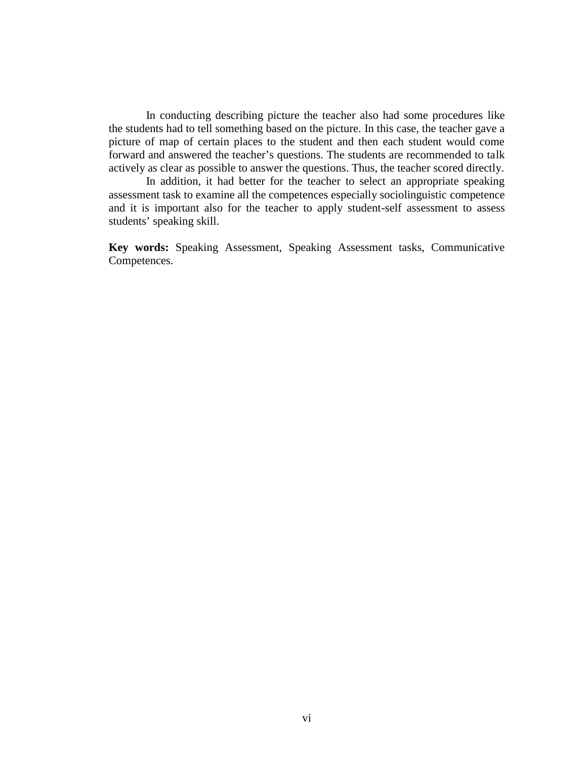In conducting describing picture the teacher also had some procedures like the students had to tell something based on the picture. In this case, the teacher gave a picture of map of certain places to the student and then each student would come forward and answered the teacher's questions. The students are recommended to talk actively as clear as possible to answer the questions. Thus, the teacher scored directly.

In addition, it had better for the teacher to select an appropriate speaking assessment task to examine all the competences especially sociolinguistic competence and it is important also for the teacher to apply student-self assessment to assess students' speaking skill.

**Key words:** Speaking Assessment, Speaking Assessment tasks, Communicative Competences.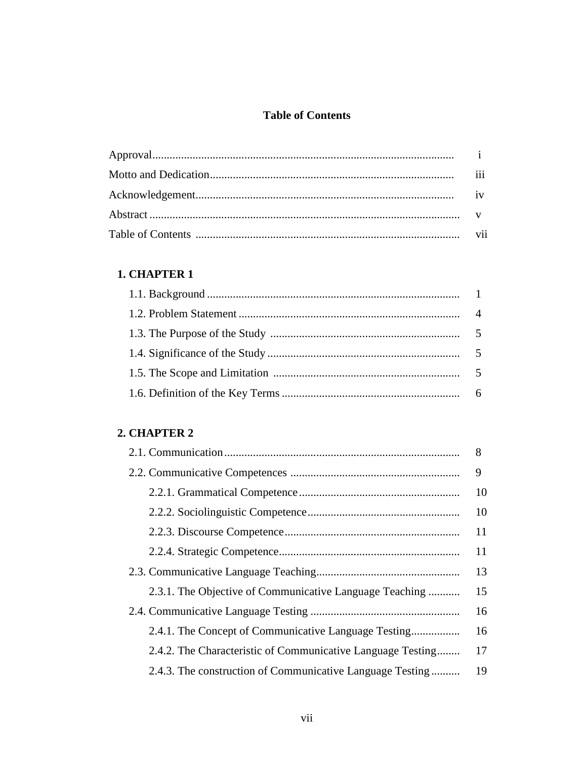# **Table of Contents**

| 111 |
|-----|
|     |
|     |
|     |

# 1. CHAPTER 1

# 2. CHAPTER 2

|                                                             | 8  |
|-------------------------------------------------------------|----|
|                                                             |    |
|                                                             | 10 |
|                                                             | 10 |
|                                                             | 11 |
|                                                             | 11 |
|                                                             | 13 |
| 2.3.1. The Objective of Communicative Language Teaching     | 15 |
|                                                             | 16 |
| 2.4.1. The Concept of Communicative Language Testing        | 16 |
| 2.4.2. The Characteristic of Communicative Language Testing | 17 |
| 2.4.3. The construction of Communicative Language Testing   | 19 |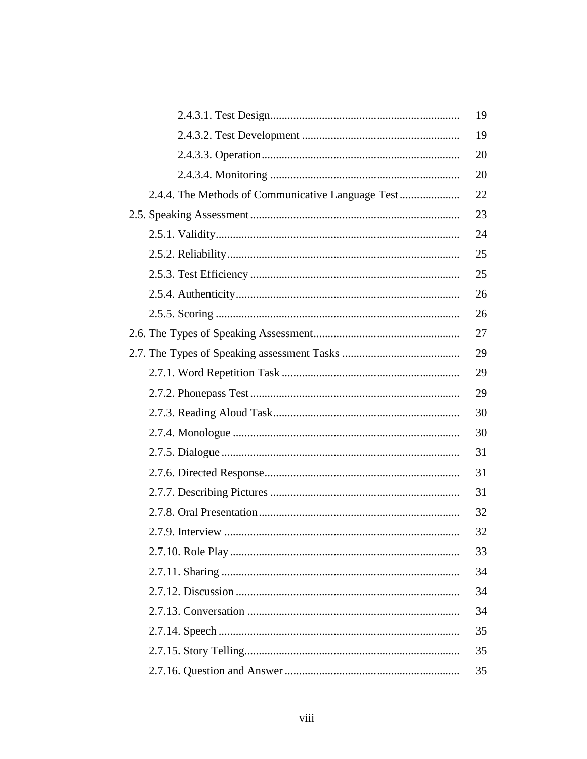|                                                   | 19 |
|---------------------------------------------------|----|
|                                                   | 19 |
|                                                   | 20 |
|                                                   | 20 |
| 2.4.4. The Methods of Communicative Language Test | 22 |
|                                                   | 23 |
|                                                   | 24 |
|                                                   | 25 |
|                                                   | 25 |
|                                                   | 26 |
|                                                   | 26 |
|                                                   | 27 |
|                                                   | 29 |
|                                                   | 29 |
|                                                   | 29 |
|                                                   | 30 |
|                                                   | 30 |
|                                                   | 31 |
|                                                   | 31 |
|                                                   | 31 |
|                                                   | 32 |
|                                                   | 32 |
|                                                   | 33 |
|                                                   | 34 |
|                                                   | 34 |
|                                                   | 34 |
|                                                   | 35 |
|                                                   | 35 |
|                                                   | 35 |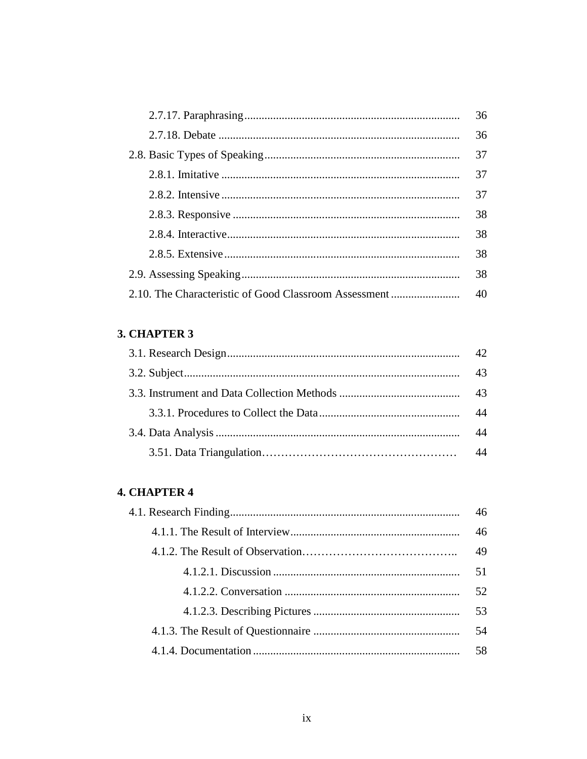| 36 |
|----|
| 36 |
| 37 |
| 37 |
| 37 |
| 38 |
| 38 |
| 38 |
| 38 |
|    |

# 3. CHAPTER 3

| 42 <sub>1</sub> |
|-----------------|
| 43              |
|                 |
| 44              |
| 44              |
|                 |

# **4. CHAPTER 4**

| 46 |
|----|
| 46 |
| 49 |
| 51 |
| 52 |
| 53 |
| 54 |
| 58 |